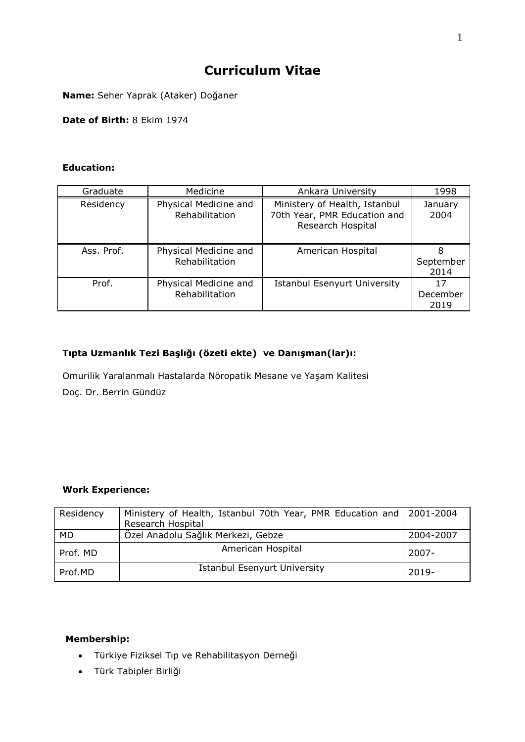# **Curriculum Vitae**

**Name:** Seher Yaprak (Ataker) Doğaner

**Date of Birth:** 8 Ekim 1974

## **Education:**

| Graduate   | Medicine                                | Ankara University                                                                  | 1998                   |
|------------|-----------------------------------------|------------------------------------------------------------------------------------|------------------------|
| Residency  | Physical Medicine and<br>Rehabilitation | Ministery of Health, Istanbul<br>70th Year, PMR Education and<br>Research Hospital | January<br>2004        |
| Ass. Prof. | Physical Medicine and<br>Rehabilitation | American Hospital                                                                  | 8<br>September<br>2014 |
| Prof.      | Physical Medicine and<br>Rehabilitation | <b>Istanbul Esenyurt University</b>                                                | 17<br>December<br>2019 |

# **Tıpta Uzmanlık Tezi Başlığı (özeti ekte) ve Danışman(lar)ı:**

Omurilik Yaralanmalı Hastalarda Nöropatik Mesane ve Yaşam Kalitesi Doç. Dr. Berrin Gündüz

#### **Work Experience:**

| Residency | Ministery of Health, Istanbul 70th Year, PMR Education and 2001-2004 |           |
|-----------|----------------------------------------------------------------------|-----------|
|           | Research Hospital                                                    |           |
| MD.       | Özel Anadolu Sağlık Merkezi, Gebze                                   | 2004-2007 |
| Prof. MD  | American Hospital                                                    | $2007 -$  |
| Prof.MD   | <b>Istanbul Esenyurt University</b>                                  | $2019 -$  |

# **Membership:**

- Türkiye Fiziksel Tıp ve Rehabilitasyon Derneği
- Türk Tabipler Birliği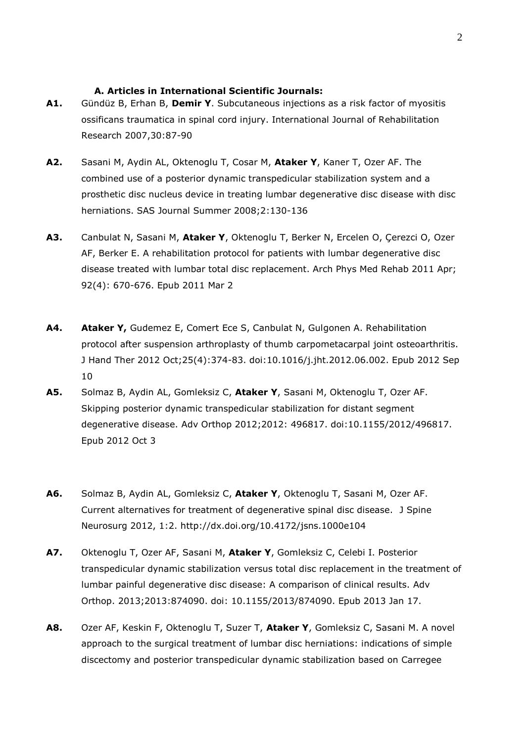#### **A. Articles in International Scientific Journals:**

- **A1.** Gündüz B, Erhan B, **Demir Y**. Subcutaneous injections as a risk factor of myositis ossificans traumatica in spinal cord injury. International Journal of Rehabilitation Research 2007,30:87-90
- **A2.** Sasani M, Aydin AL, Oktenoglu T, Cosar M, **Ataker Y**, Kaner T, Ozer AF. The combined use of a posterior dynamic transpedicular stabilization system and a prosthetic disc nucleus device in treating lumbar degenerative disc disease with disc herniations. SAS Journal Summer 2008;2:130-136
- **A3.** Canbulat N, Sasani M, **Ataker Y**, Oktenoglu T, Berker N, Ercelen O, Çerezci O, Ozer AF, Berker E. A rehabilitation protocol for patients with lumbar degenerative disc disease treated with lumbar total disc replacement. Arch Phys Med Rehab 2011 Apr; 92(4): 670-676. Epub 2011 Mar 2
- **A4. Ataker Y,** Gudemez E, Comert Ece S, Canbulat N, Gulgonen A. Rehabilitation protocol after suspension arthroplasty of thumb carpometacarpal joint osteoarthritis. J Hand Ther 2012 Oct;25(4):374-83. doi:10.1016/j.jht.2012.06.002. Epub 2012 Sep 10
- **A5.** Solmaz B, Aydin AL, Gomleksiz C, **Ataker Y**, Sasani M, Oktenoglu T, Ozer AF. Skipping posterior dynamic transpedicular stabilization for distant segment degenerative disease. Adv Orthop 2012;2012: 496817. doi:10.1155/2012/496817. Epub 2012 Oct 3
- **A6.** Solmaz B, Aydin AL, Gomleksiz C, **Ataker Y**, Oktenoglu T, Sasani M, Ozer AF. Current alternatives for treatment of degenerative spinal disc disease. J Spine Neurosurg 2012, 1:2. http://dx.doi.org/10.4172/jsns.1000e104
- **A7.** Oktenoglu T, Ozer AF, Sasani M, **Ataker Y**, Gomleksiz C, Celebi I. Posterior transpedicular dynamic stabilization versus total disc replacement in the treatment of lumbar painful degenerative disc disease: A comparison of clinical results. Adv Orthop. 2013;2013:874090. doi: 10.1155/2013/874090. Epub 2013 Jan 17.
- **A8.** Ozer AF, Keskin F, Oktenoglu T, Suzer T, **Ataker Y**, Gomleksiz C, Sasani M. A novel approach to the surgical treatment of lumbar disc herniations: indications of simple discectomy and posterior transpedicular dynamic stabilization based on Carregee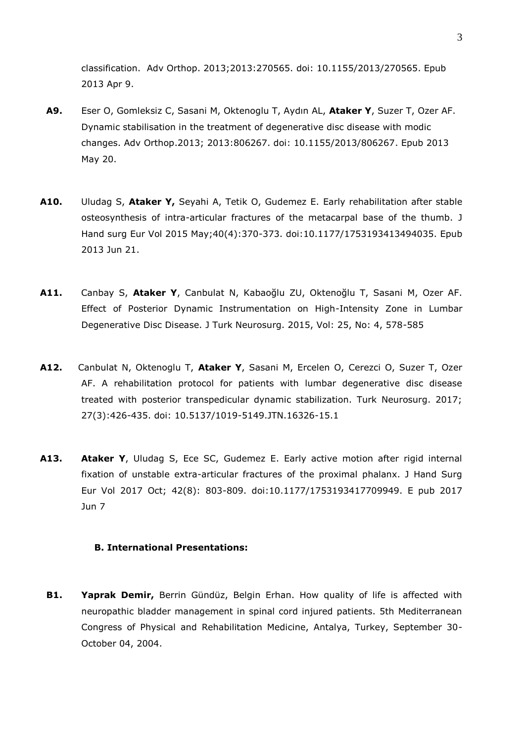classification. Adv Orthop. 2013;2013:270565. doi: 10.1155/2013/270565. Epub 2013 Apr 9.

- **A9.** Eser O, Gomleksiz C, Sasani M, Oktenoglu T, Aydın AL, **Ataker Y**, Suzer T, Ozer AF. Dynamic stabilisation in the treatment of degenerative disc disease with modic changes. Adv Orthop.2013; 2013:806267. doi: 10.1155/2013/806267. Epub 2013 May 20.
- **A10.** Uludag S, **Ataker Y,** Seyahi A, Tetik O, Gudemez E. Early rehabilitation after stable osteosynthesis of intra-articular fractures of the metacarpal base of the thumb. J Hand surg Eur Vol 2015 May;40(4):370-373. doi:10.1177/1753193413494035. Epub 2013 Jun 21.
- **A11.** Canbay S, **Ataker Y**, Canbulat N, Kabaoğlu ZU, Oktenoğlu T, Sasani M, Ozer AF. Effect of Posterior Dynamic Instrumentation on High-Intensity Zone in Lumbar Degenerative Disc Disease. J Turk Neurosurg. 2015, Vol: 25, No: 4, 578-585
- **A12.** Canbulat N, Oktenoglu T, **Ataker Y**, Sasani M, Ercelen O, Cerezci O, Suzer T, Ozer AF. A rehabilitation protocol for patients with lumbar degenerative disc disease treated with posterior transpedicular dynamic stabilization. Turk Neurosurg. 2017; 27(3):426-435. doi: 10.5137/1019-5149.JTN.16326-15.1
- **A13. Ataker Y**, Uludag S, Ece SC, Gudemez E. Early active motion after rigid internal fixation of unstable extra-articular fractures of the proximal phalanx. J Hand Surg Eur Vol 2017 Oct; 42(8): 803-809. doi:10.1177/1753193417709949. E pub 2017 Jun 7

### **B. International Presentations:**

**B1. Yaprak Demir,** Berrin Gündüz, Belgin Erhan. How quality of life is affected with neuropathic bladder management in spinal cord injured patients. 5th Mediterranean Congress of Physical and Rehabilitation Medicine, Antalya, Turkey, September 30- October 04, 2004.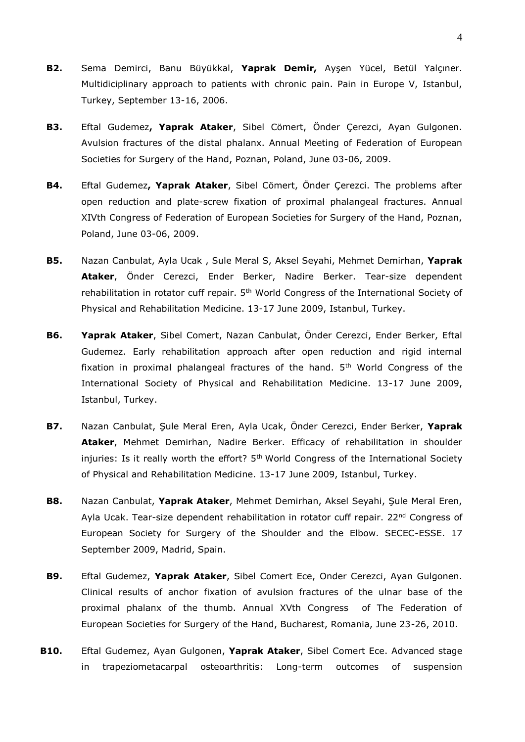- **B2.** Sema Demirci, Banu Büyükkal, **Yaprak Demir,** Ayşen Yücel, Betül Yalçıner. Multidiciplinary approach to patients with chronic pain. Pain in Europe V, Istanbul, Turkey, September 13-16, 2006.
- **B3.** Eftal Gudemez**, Yaprak Ataker**, Sibel Cömert, Önder Çerezci, Ayan Gulgonen. Avulsion fractures of the distal phalanx. Annual Meeting of Federation of European Societies for Surgery of the Hand, Poznan, Poland, June 03-06, 2009.
- **B4.** Eftal Gudemez**, Yaprak Ataker**, Sibel Cömert, Önder Çerezci. The problems after open reduction and plate-screw fixation of proximal phalangeal fractures. Annual XIVth Congress of Federation of European Societies for Surgery of the Hand, Poznan, Poland, June 03-06, 2009.
- **B5.** Nazan Canbulat, Ayla Ucak , Sule Meral S, Aksel Seyahi, Mehmet Demirhan, **Yaprak Ataker**, Önder Cerezci, Ender Berker, Nadire Berker. Tear-size dependent rehabilitation in rotator cuff repair. 5<sup>th</sup> World Congress of the International Society of Physical and Rehabilitation Medicine. 13-17 June 2009, Istanbul, Turkey.
- **B6. Yaprak Ataker**, Sibel Comert, Nazan Canbulat, Önder Cerezci, Ender Berker, Eftal Gudemez. Early rehabilitation approach after open reduction and rigid internal fixation in proximal phalangeal fractures of the hand. 5<sup>th</sup> World Congress of the International Society of Physical and Rehabilitation Medicine. 13-17 June 2009, Istanbul, Turkey.
- **B7.** Nazan Canbulat, Şule Meral Eren, Ayla Ucak, Önder Cerezci, Ender Berker, **Yaprak Ataker**, Mehmet Demirhan, Nadire Berker. Efficacy of rehabilitation in shoulder injuries: Is it really worth the effort?  $5<sup>th</sup>$  World Congress of the International Society of Physical and Rehabilitation Medicine. 13-17 June 2009, Istanbul, Turkey.
- **B8.** Nazan Canbulat, **Yaprak Ataker**, Mehmet Demirhan, Aksel Seyahi, Şule Meral Eren, Ayla Ucak. Tear-size dependent rehabilitation in rotator cuff repair. 22<sup>nd</sup> Congress of European Society for Surgery of the Shoulder and the Elbow. SECEC-ESSE. 17 September 2009, Madrid, Spain.
- **B9.** Eftal Gudemez, **Yaprak Ataker**, Sibel Comert Ece, Onder Cerezci, Ayan Gulgonen. Clinical results of anchor fixation of avulsion fractures of the ulnar base of the proximal phalanx of the thumb. Annual XVth Congress of The Federation of European Societies for Surgery of the Hand, Bucharest, Romania, June 23-26, 2010.
- **B10.** Eftal Gudemez, Ayan Gulgonen, **Yaprak Ataker**, Sibel Comert Ece. Advanced stage in trapeziometacarpal osteoarthritis: Long-term outcomes of suspension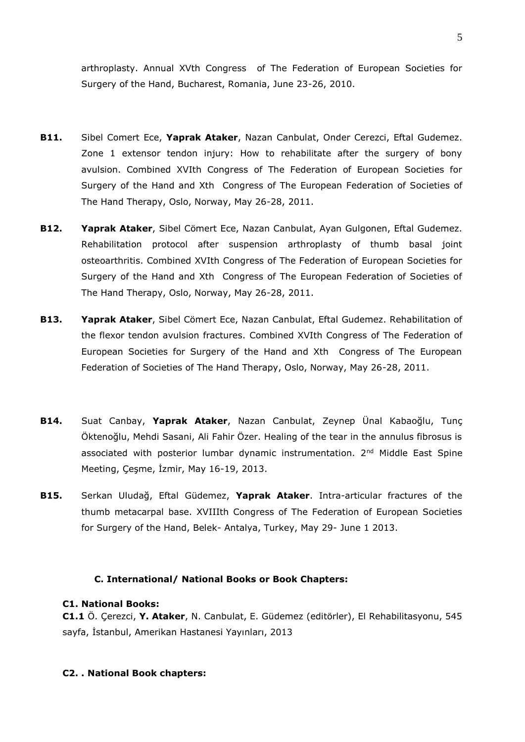arthroplasty. Annual XVth Congress of The Federation of European Societies for Surgery of the Hand, Bucharest, Romania, June 23-26, 2010.

- **B11.** Sibel Comert Ece, **Yaprak Ataker**, Nazan Canbulat, Onder Cerezci, Eftal Gudemez. Zone 1 extensor tendon injury: How to rehabilitate after the surgery of bony avulsion. Combined XVIth Congress of The Federation of European Societies for Surgery of the Hand and Xth Congress of The European Federation of Societies of The Hand Therapy, Oslo, Norway, May 26-28, 2011.
- **B12. Yaprak Ataker**, Sibel Cömert Ece, Nazan Canbulat, Ayan Gulgonen, Eftal Gudemez. Rehabilitation protocol after suspension arthroplasty of thumb basal joint osteoarthritis. Combined XVIth Congress of The Federation of European Societies for Surgery of the Hand and Xth Congress of The European Federation of Societies of The Hand Therapy, Oslo, Norway, May 26-28, 2011.
- **B13. Yaprak Ataker**, Sibel Cömert Ece, Nazan Canbulat, Eftal Gudemez. Rehabilitation of the flexor tendon avulsion fractures. Combined XVIth Congress of The Federation of European Societies for Surgery of the Hand and Xth Congress of The European Federation of Societies of The Hand Therapy, Oslo, Norway, May 26-28, 2011.
- **B14.** Suat Canbay, **Yaprak Ataker**, Nazan Canbulat, Zeynep Ünal Kabaoğlu, Tunç Öktenoğlu, Mehdi Sasani, Ali Fahir Özer. Healing of the tear in the annulus fibrosus is associated with posterior lumbar dynamic instrumentation. 2<sup>nd</sup> Middle East Spine Meeting, Çeşme, İzmir, May 16-19, 2013.
- **B15.** Serkan Uludağ, Eftal Güdemez, **Yaprak Ataker**. Intra-articular fractures of the thumb metacarpal base. XVIIIth Congress of The Federation of European Societies for Surgery of the Hand, Belek- Antalya, Turkey, May 29- June 1 2013.

#### **C. International/ National Books or Book Chapters:**

#### **C1. National Books:**

**C1.1** Ö. Çerezci, **Y. Ataker**, N. Canbulat, E. Güdemez (editörler), El Rehabilitasyonu, 545 sayfa, İstanbul, Amerikan Hastanesi Yayınları, 2013

#### **C2. . National Book chapters:**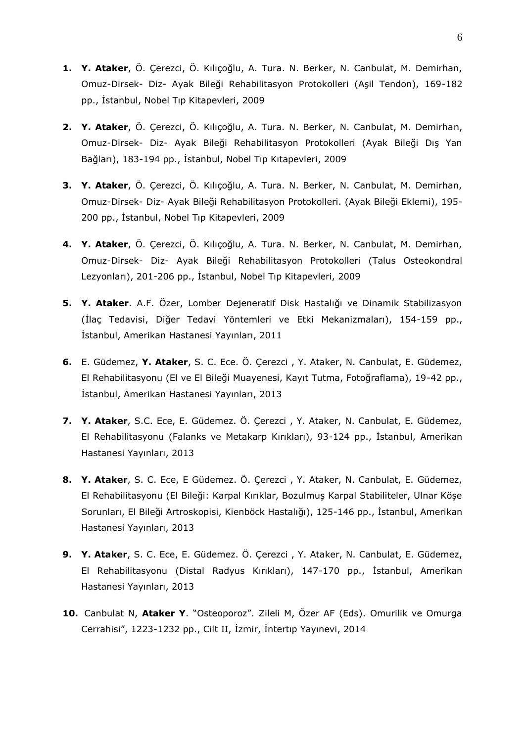- **1. Y. Ataker**, Ö. Çerezci, Ö. Kılıçoğlu, A. Tura. N. Berker, N. Canbulat, M. Demirhan, Omuz-Dirsek- Diz- Ayak Bileği Rehabilitasyon Protokolleri (Aşil Tendon), 169-182 pp., İstanbul, Nobel Tıp Kitapevleri, 2009
- **2. Y. Ataker**, Ö. Çerezci, Ö. Kılıçoğlu, A. Tura. N. Berker, N. Canbulat, M. Demirhan, Omuz-Dirsek- Diz- Ayak Bileği Rehabilitasyon Protokolleri (Ayak Bileği Dış Yan Bağları), 183-194 pp., İstanbul, Nobel Tıp Kıtapevleri, 2009
- **3. Y. Ataker**, Ö. Çerezci, Ö. Kılıçoğlu, A. Tura. N. Berker, N. Canbulat, M. Demirhan, Omuz-Dirsek- Diz- Ayak Bileği Rehabilitasyon Protokolleri. (Ayak Bileği Eklemi), 195- 200 pp., İstanbul, Nobel Tıp Kitapevleri, 2009
- **4. Y. Ataker**, Ö. Çerezci, Ö. Kılıçoğlu, A. Tura. N. Berker, N. Canbulat, M. Demirhan, Omuz-Dirsek- Diz- Ayak Bileği Rehabilitasyon Protokolleri (Talus Osteokondral Lezyonları), 201-206 pp., İstanbul, Nobel Tıp Kitapevleri, 2009
- **5. Y. Ataker**. A.F. Özer, Lomber Dejeneratif Disk Hastalığı ve Dinamik Stabilizasyon (İlaç Tedavisi, Diğer Tedavi Yöntemleri ve Etki Mekanizmaları), 154-159 pp., İstanbul, Amerikan Hastanesi Yayınları, 2011
- **6.** E. Güdemez, **Y. Ataker**, S. C. Ece. Ö. Çerezci , Y. Ataker, N. Canbulat, E. Güdemez, El Rehabilitasyonu (El ve El Bileği Muayenesi, Kayıt Tutma, Fotoğraflama), 19-42 pp., İstanbul, Amerikan Hastanesi Yayınları, 2013
- **7. Y. Ataker**, S.C. Ece, E. Güdemez. Ö. Çerezci , Y. Ataker, N. Canbulat, E. Güdemez, El Rehabilitasyonu (Falanks ve Metakarp Kırıkları), 93-124 pp., İstanbul, Amerikan Hastanesi Yayınları, 2013
- **8. Y. Ataker**, S. C. Ece, E Güdemez. Ö. Çerezci , Y. Ataker, N. Canbulat, E. Güdemez, El Rehabilitasyonu (El Bileği: Karpal Kırıklar, Bozulmuş Karpal Stabiliteler, Ulnar Köşe Sorunları, El Bileği Artroskopisi, Kienböck Hastalığı), 125-146 pp., İstanbul, Amerikan Hastanesi Yayınları, 2013
- **9. Y. Ataker**, S. C. Ece, E. Güdemez. Ö. Çerezci , Y. Ataker, N. Canbulat, E. Güdemez, El Rehabilitasyonu (Distal Radyus Kırıkları), 147-170 pp., İstanbul, Amerikan Hastanesi Yayınları, 2013
- **10.** Canbulat N, **Ataker Y**. "Osteoporoz". Zileli M, Özer AF (Eds). Omurilik ve Omurga Cerrahisi", 1223-1232 pp., Cilt II, İzmir, İntertıp Yayınevi, 2014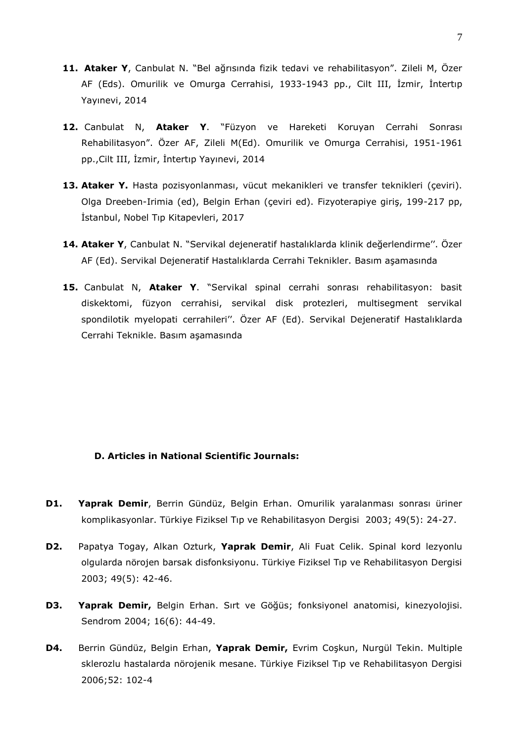- **11. Ataker Y**, Canbulat N. "Bel ağrısında fizik tedavi ve rehabilitasyon". Zileli M, Özer AF (Eds). Omurilik ve Omurga Cerrahisi, 1933-1943 pp., Cilt III, İzmir, İntertıp Yayınevi, 2014
- **12.** Canbulat N, **Ataker Y**. "Füzyon ve Hareketi Koruyan Cerrahi Sonrası Rehabilitasyon". Özer AF, Zileli M(Ed). Omurilik ve Omurga Cerrahisi, 1951-1961 pp.,Cilt III, İzmir, İntertıp Yayınevi, 2014
- 13. Ataker Y. Hasta pozisyonlanması, vücut mekanikleri ve transfer teknikleri (çeviri). Olga Dreeben-Irimia (ed), Belgin Erhan (çeviri ed). Fizyoterapiye giriş, 199-217 pp, İstanbul, Nobel Tıp Kitapevleri, 2017
- **14. Ataker Y**, Canbulat N. "Servikal dejeneratif hastalıklarda klinik değerlendirme''. Özer AF (Ed). Servikal Dejeneratif Hastalıklarda Cerrahi Teknikler. Basım aşamasında
- **15.** Canbulat N, **Ataker Y**. "Servikal spinal cerrahi sonrası rehabilitasyon: basit diskektomi, füzyon cerrahisi, servikal disk protezleri, multisegment servikal spondilotik myelopati cerrahileri''. Özer AF (Ed). Servikal Dejeneratif Hastalıklarda Cerrahi Teknikle. Basım aşamasında

#### **D. Articles in National Scientific Journals:**

- **D1. Yaprak Demir**, Berrin Gündüz, Belgin Erhan. Omurilik yaralanması sonrası üriner komplikasyonlar. Türkiye Fiziksel Tıp ve Rehabilitasyon Dergisi 2003; 49(5): 24-27.
- **D2.** Papatya Togay, Alkan Ozturk, **Yaprak Demir**, Ali Fuat Celik. Spinal kord lezyonlu olgularda nörojen barsak disfonksiyonu. Türkiye Fiziksel Tıp ve Rehabilitasyon Dergisi 2003; 49(5): 42-46.
- **D3. Yaprak Demir,** Belgin Erhan. Sırt ve Göğüs; fonksiyonel anatomisi, kinezyolojisi. Sendrom 2004; 16(6): 44-49.
- **D4.** Berrin Gündüz, Belgin Erhan, **Yaprak Demir,** Evrim Coşkun, Nurgül Tekin. Multiple sklerozlu hastalarda nörojenik mesane. Türkiye Fiziksel Tıp ve Rehabilitasyon Dergisi 2006;52: 102-4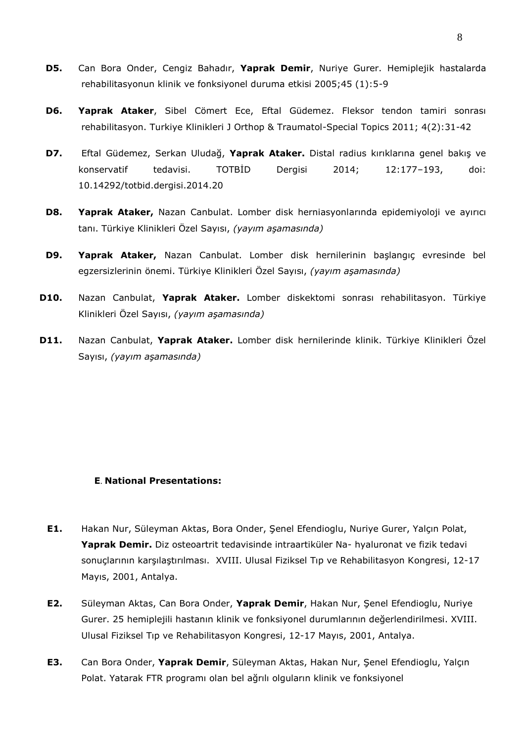- **D5.** Can Bora Onder, Cengiz Bahadır, **Yaprak Demir**, Nuriye Gurer. Hemiplejik hastalarda rehabilitasyonun klinik ve fonksiyonel duruma etkisi 2005;45 (1):5-9
- **D6. Yaprak Ataker**, Sibel Cömert Ece, Eftal Güdemez. Fleksor tendon tamiri sonrası rehabilitasyon. Turkiye Klinikleri J Orthop & Traumatol-Special Topics 2011; 4(2):31-42
- **D7.** Eftal Güdemez, Serkan Uludağ, **Yaprak Ataker.** Distal radius kırıklarına genel bakış ve konservatif tedavisi. TOTBİD Dergisi 2014; 12:177–193, doi: 10.14292/totbid.dergisi.2014.20
- **D8. Yaprak Ataker,** Nazan Canbulat. Lomber disk herniasyonlarında epidemiyoloji ve ayırıcı tanı. Türkiye Klinikleri Özel Sayısı, *(yayım aşamasında)*
- **D9. Yaprak Ataker,** Nazan Canbulat. Lomber disk hernilerinin başlangıç evresinde bel egzersizlerinin önemi. Türkiye Klinikleri Özel Sayısı, *(yayım aşamasında)*
- **D10.** Nazan Canbulat, **Yaprak Ataker.** Lomber diskektomi sonrası rehabilitasyon. Türkiye Klinikleri Özel Sayısı, *(yayım aşamasında)*
- **D11.** Nazan Canbulat, **Yaprak Ataker.** Lomber disk hernilerinde klinik. Türkiye Klinikleri Özel Sayısı, *(yayım aşamasında)*

## **E**. **National Presentations:**

- **E1.** Hakan Nur, Süleyman Aktas, Bora Onder, Şenel Efendioglu, Nuriye Gurer, Yalçın Polat, **Yaprak Demir.** Diz osteoartrit tedavisinde intraartiküler Na- hyaluronat ve fizik tedavi sonuçlarının karşılaştırılması. XVIII. Ulusal Fiziksel Tıp ve Rehabilitasyon Kongresi, 12-17 Mayıs, 2001, Antalya.
- **E2.** Süleyman Aktas, Can Bora Onder, **Yaprak Demir**, Hakan Nur, Şenel Efendioglu, Nuriye Gurer. 25 hemiplejili hastanın klinik ve fonksiyonel durumlarının değerlendirilmesi. XVIII. Ulusal Fiziksel Tıp ve Rehabilitasyon Kongresi, 12-17 Mayıs, 2001, Antalya.
- **E3.** Can Bora Onder, **Yaprak Demir**, Süleyman Aktas, Hakan Nur, Şenel Efendioglu, Yalçın Polat. Yatarak FTR programı olan bel ağrılı olguların klinik ve fonksiyonel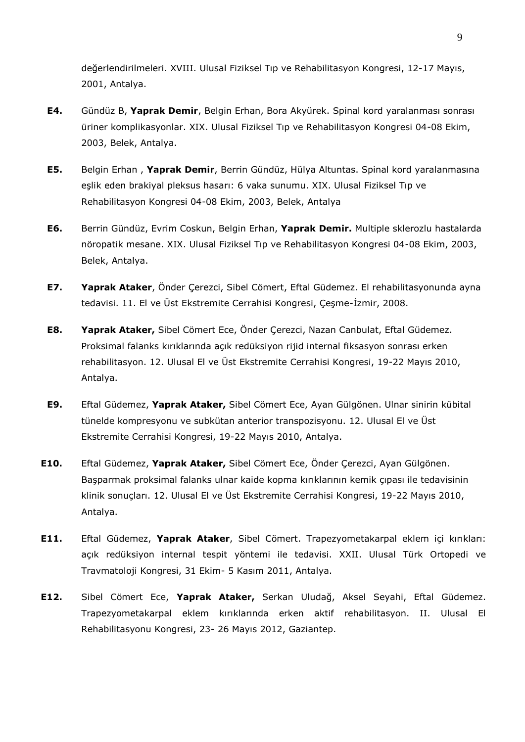değerlendirilmeleri. XVIII. Ulusal Fiziksel Tıp ve Rehabilitasyon Kongresi, 12-17 Mayıs, 2001, Antalya.

- **E4.** Gündüz B, **Yaprak Demir**, Belgin Erhan, Bora Akyürek. Spinal kord yaralanması sonrası üriner komplikasyonlar. XIX. Ulusal Fiziksel Tıp ve Rehabilitasyon Kongresi 04-08 Ekim, 2003, Belek, Antalya.
- **E5.** Belgin Erhan , **Yaprak Demir**, Berrin Gündüz, Hülya Altuntas. Spinal kord yaralanmasına eşlik eden brakiyal pleksus hasarı: 6 vaka sunumu. XIX. Ulusal Fiziksel Tıp ve Rehabilitasyon Kongresi 04-08 Ekim, 2003, Belek, Antalya
- **E6.** Berrin Gündüz, Evrim Coskun, Belgin Erhan, **Yaprak Demir.** Multiple sklerozlu hastalarda nöropatik mesane. XIX. Ulusal Fiziksel Tıp ve Rehabilitasyon Kongresi 04-08 Ekim, 2003, Belek, Antalya.
- **E7. Yaprak Ataker**, Önder Çerezci, Sibel Cömert, Eftal Güdemez. El rehabilitasyonunda ayna tedavisi. 11. El ve Üst Ekstremite Cerrahisi Kongresi, Çeşme-İzmir, 2008.
- **E8. Yaprak Ataker,** Sibel Cömert Ece, Önder Çerezci, Nazan Canbulat, Eftal Güdemez. Proksimal falanks kırıklarında açık redüksiyon rijid internal fiksasyon sonrası erken rehabilitasyon. 12. Ulusal El ve Üst Ekstremite Cerrahisi Kongresi, 19-22 Mayıs 2010, Antalya.
- **E9.** Eftal Güdemez, **Yaprak Ataker,** Sibel Cömert Ece, Ayan Gülgönen. Ulnar sinirin kübital tünelde kompresyonu ve subkütan anterior transpozisyonu. 12. Ulusal El ve Üst Ekstremite Cerrahisi Kongresi, 19-22 Mayıs 2010, Antalya.
- **E10.** Eftal Güdemez, **Yaprak Ataker,** Sibel Cömert Ece, Önder Çerezci, Ayan Gülgönen. Başparmak proksimal falanks ulnar kaide kopma kırıklarının kemik çıpası ile tedavisinin klinik sonuçları. 12. Ulusal El ve Üst Ekstremite Cerrahisi Kongresi, 19-22 Mayıs 2010, Antalya.
- **E11.** Eftal Güdemez, **Yaprak Ataker**, Sibel Cömert. Trapezyometakarpal eklem içi kırıkları: açık redüksiyon internal tespit yöntemi ile tedavisi. XXII. Ulusal Türk Ortopedi ve Travmatoloji Kongresi, 31 Ekim- 5 Kasım 2011, Antalya.
- **E12.** Sibel Cömert Ece, **Yaprak Ataker,** Serkan Uludağ, Aksel Seyahi, Eftal Güdemez. Trapezyometakarpal eklem kırıklarında erken aktif rehabilitasyon. II. Ulusal El Rehabilitasyonu Kongresi, 23- 26 Mayıs 2012, Gaziantep.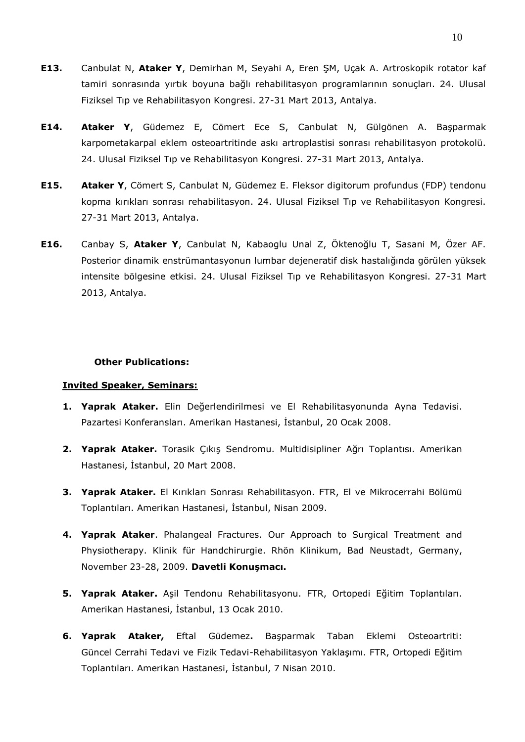- **E13.** Canbulat N, **Ataker Y**, Demirhan M, Seyahi A, Eren ŞM, Uçak A. Artroskopik rotator kaf tamiri sonrasında yırtık boyuna bağlı rehabilitasyon programlarının sonuçları. 24. Ulusal Fiziksel Tıp ve Rehabilitasyon Kongresi. 27-31 Mart 2013, Antalya.
- **E14. Ataker Y**, Güdemez E, Cömert Ece S, Canbulat N, Gülgönen A. Başparmak karpometakarpal eklem osteoartritinde askı artroplastisi sonrası rehabilitasyon protokolü. 24. Ulusal Fiziksel Tıp ve Rehabilitasyon Kongresi. 27-31 Mart 2013, Antalya.
- **E15. Ataker Y**, Cömert S, Canbulat N, Güdemez E. Fleksor digitorum profundus (FDP) tendonu kopma kırıkları sonrası rehabilitasyon. 24. Ulusal Fiziksel Tıp ve Rehabilitasyon Kongresi. 27-31 Mart 2013, Antalya.
- **E16.** Canbay S, **Ataker Y**, Canbulat N, Kabaoglu Unal Z, Öktenoğlu T, Sasani M, Özer AF. Posterior dinamik enstrümantasyonun lumbar dejeneratif disk hastalığında görülen yüksek intensite bölgesine etkisi. 24. Ulusal Fiziksel Tıp ve Rehabilitasyon Kongresi. 27-31 Mart 2013, Antalya.

#### **Other Publications:**

#### **Invited Speaker, Seminars:**

- **1. Yaprak Ataker.** Elin Değerlendirilmesi ve El Rehabilitasyonunda Ayna Tedavisi. Pazartesi Konferansları. Amerikan Hastanesi, İstanbul, 20 Ocak 2008.
- **2. Yaprak Ataker.** Torasik Çıkış Sendromu. Multidisipliner Ağrı Toplantısı. Amerikan Hastanesi, İstanbul, 20 Mart 2008.
- **3. Yaprak Ataker.** El Kırıkları Sonrası Rehabilitasyon. FTR, El ve Mikrocerrahi Bölümü Toplantıları. Amerikan Hastanesi, İstanbul, Nisan 2009.
- **4. Yaprak Ataker**. Phalangeal Fractures. Our Approach to Surgical Treatment and Physiotherapy. Klinik für Handchirurgie. Rhön Klinikum, Bad Neustadt, Germany, November 23-28, 2009. **Davetli Konuşmacı.**
- **5. Yaprak Ataker.** Aşil Tendonu Rehabilitasyonu. FTR, Ortopedi Eğitim Toplantıları. Amerikan Hastanesi, İstanbul, 13 Ocak 2010.
- **6. Yaprak Ataker,** Eftal Güdemez**.** Başparmak Taban Eklemi Osteoartriti: Güncel Cerrahi Tedavi ve Fizik Tedavi-Rehabilitasyon Yaklaşımı. FTR, Ortopedi Eğitim Toplantıları. Amerikan Hastanesi, İstanbul, 7 Nisan 2010.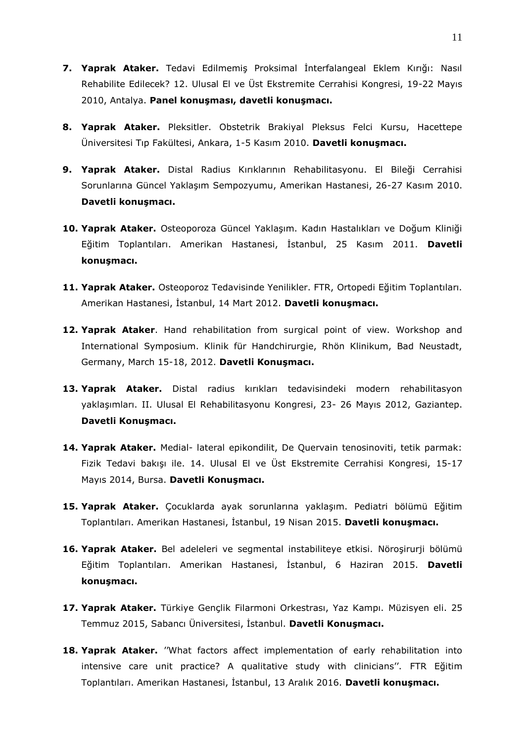- **7. Yaprak Ataker.** Tedavi Edilmemiş Proksimal İnterfalangeal Eklem Kırığı: Nasıl Rehabilite Edilecek? 12. Ulusal El ve Üst Ekstremite Cerrahisi Kongresi, 19-22 Mayıs 2010, Antalya. **Panel konuşması, davetli konuşmacı.**
- **8. Yaprak Ataker.** Pleksitler. Obstetrik Brakiyal Pleksus Felci Kursu, Hacettepe Üniversitesi Tıp Fakültesi, Ankara, 1-5 Kasım 2010. **Davetli konuşmacı.**
- **9. Yaprak Ataker.** Distal Radius Kırıklarının Rehabilitasyonu. El Bileği Cerrahisi Sorunlarına Güncel Yaklaşım Sempozyumu, Amerikan Hastanesi, 26-27 Kasım 2010. **Davetli konuşmacı.**
- **10. Yaprak Ataker.** Osteoporoza Güncel Yaklaşım. Kadın Hastalıkları ve Doğum Kliniği Eğitim Toplantıları. Amerikan Hastanesi, İstanbul, 25 Kasım 2011. **Davetli konuşmacı.**
- **11. Yaprak Ataker.** Osteoporoz Tedavisinde Yenilikler. FTR, Ortopedi Eğitim Toplantıları. Amerikan Hastanesi, İstanbul, 14 Mart 2012. **Davetli konuşmacı.**
- **12. Yaprak Ataker**. Hand rehabilitation from surgical point of view. Workshop and International Symposium. Klinik für Handchirurgie, Rhön Klinikum, Bad Neustadt, Germany, March 15-18, 2012. **Davetli Konuşmacı.**
- **13. Yaprak Ataker.** Distal radius kırıkları tedavisindeki modern rehabilitasyon yaklaşımları. II. Ulusal El Rehabilitasyonu Kongresi, 23- 26 Mayıs 2012, Gaziantep. **Davetli Konuşmacı.**
- **14. Yaprak Ataker.** Medial- lateral epikondilit, De Quervain tenosinoviti, tetik parmak: Fizik Tedavi bakışı ile. 14. Ulusal El ve Üst Ekstremite Cerrahisi Kongresi, 15-17 Mayıs 2014, Bursa. **Davetli Konuşmacı.**
- **15. Yaprak Ataker.** Çocuklarda ayak sorunlarına yaklaşım. Pediatri bölümü Eğitim Toplantıları. Amerikan Hastanesi, İstanbul, 19 Nisan 2015. **Davetli konuşmacı.**
- **16. Yaprak Ataker.** Bel adeleleri ve segmental instabiliteye etkisi. Nöroşirurji bölümü Eğitim Toplantıları. Amerikan Hastanesi, İstanbul, 6 Haziran 2015. **Davetli konuşmacı.**
- **17. Yaprak Ataker.** Türkiye Gençlik Filarmoni Orkestrası, Yaz Kampı. Müzisyen eli. 25 Temmuz 2015, Sabancı Üniversitesi, İstanbul. **Davetli Konuşmacı.**
- **18. Yaprak Ataker.** ''What factors affect implementation of early rehabilitation into intensive care unit practice? A qualitative study with clinicians''. FTR Eğitim Toplantıları. Amerikan Hastanesi, İstanbul, 13 Aralık 2016. **Davetli konuşmacı.**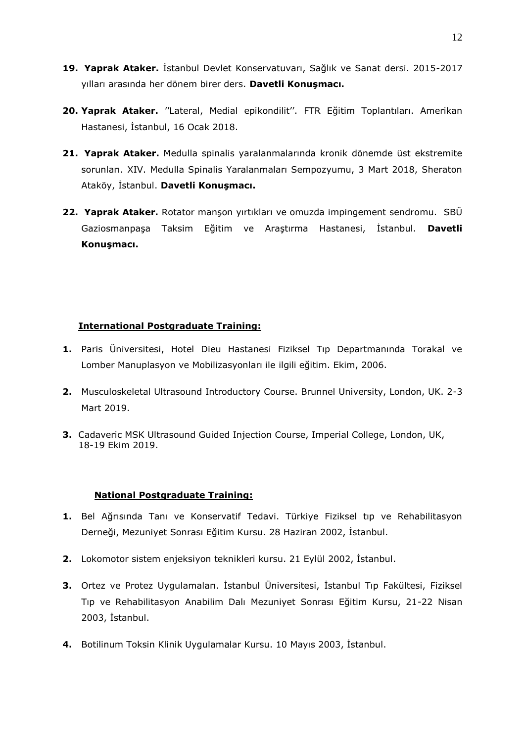- **19. Yaprak Ataker.** İstanbul Devlet Konservatuvarı, Sağlık ve Sanat dersi. 2015-2017 yılları arasında her dönem birer ders. **Davetli Konuşmacı.**
- **20. Yaprak Ataker.** ''Lateral, Medial epikondilit''. FTR Eğitim Toplantıları. Amerikan Hastanesi, İstanbul, 16 Ocak 2018.
- **21. Yaprak Ataker.** Medulla spinalis yaralanmalarında kronik dönemde üst ekstremite sorunları. XIV. Medulla Spinalis Yaralanmaları Sempozyumu, 3 Mart 2018, Sheraton Ataköy, İstanbul. **Davetli Konuşmacı.**
- **22. Yaprak Ataker.** Rotator manşon yırtıkları ve omuzda impingement sendromu. SBÜ Gaziosmanpaşa Taksim Eğitim ve Araştırma Hastanesi, İstanbul. **Davetli Konuşmacı.**

# **International Postgraduate Training:**

- **1.** Paris Üniversitesi, Hotel Dieu Hastanesi Fiziksel Tıp Departmanında Torakal ve Lomber Manuplasyon ve Mobilizasyonları ile ilgili eğitim. Ekim, 2006.
- **2.** Musculoskeletal Ultrasound Introductory Course. Brunnel University, London, UK. 2-3 Mart 2019.
- **3.** Cadaveric MSK Ultrasound Guided Injection Course, Imperial College, London, UK, 18-19 Ekim 2019.

## **National Postgraduate Training:**

- **1.** Bel Ağrısında Tanı ve Konservatif Tedavi. Türkiye Fiziksel tıp ve Rehabilitasyon Derneği, Mezuniyet Sonrası Eğitim Kursu. 28 Haziran 2002, İstanbul.
- **2.** Lokomotor sistem enjeksiyon teknikleri kursu. 21 Eylül 2002, İstanbul.
- **3.** Ortez ve Protez Uygulamaları. İstanbul Üniversitesi, İstanbul Tıp Fakültesi, Fiziksel Tıp ve Rehabilitasyon Anabilim Dalı Mezuniyet Sonrası Eğitim Kursu, 21-22 Nisan 2003, İstanbul.
- **4.** Botilinum Toksin Klinik Uygulamalar Kursu. 10 Mayıs 2003, İstanbul.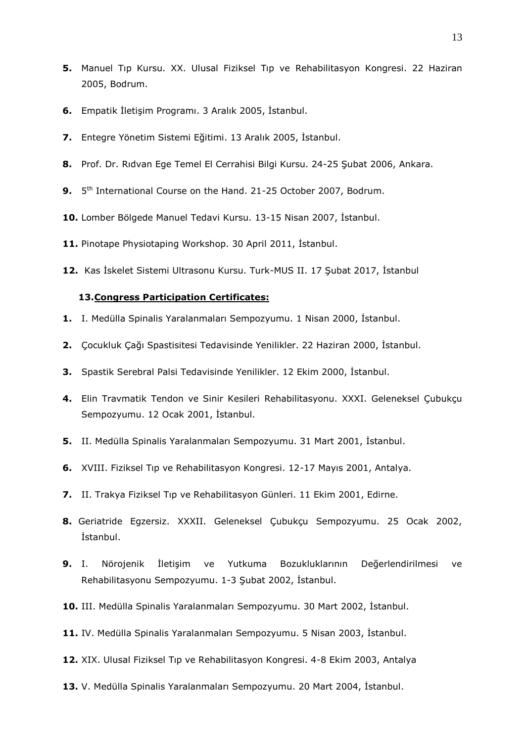- **5.** Manuel Tıp Kursu. XX. Ulusal Fiziksel Tıp ve Rehabilitasyon Kongresi. 22 Haziran 2005, Bodrum.
- **6.** Empatik İletişim Programı. 3 Aralık 2005, İstanbul.
- **7.** Entegre Yönetim Sistemi Eğitimi. 13 Aralık 2005, İstanbul.
- **8.** Prof. Dr. Rıdvan Ege Temel El Cerrahisi Bilgi Kursu. 24-25 Şubat 2006, Ankara.
- 9. 5<sup>th</sup> International Course on the Hand. 21-25 October 2007, Bodrum.
- **10.** Lomber Bölgede Manuel Tedavi Kursu. 13-15 Nisan 2007, İstanbul.
- **11.** Pinotape Physiotaping Workshop. 30 April 2011, İstanbul.
- **12.** Kas İskelet Sistemi Ultrasonu Kursu. Turk-MUS II. 17 Şubat 2017, İstanbul

## **13.Congress Participation Certificates:**

- **1.** I. Medülla Spinalis Yaralanmaları Sempozyumu. 1 Nisan 2000, İstanbul.
- **2.** Çocukluk Çağı Spastisitesi Tedavisinde Yenilikler. 22 Haziran 2000, İstanbul.
- **3.** Spastik Serebral Palsi Tedavisinde Yenilikler. 12 Ekim 2000, İstanbul.
- **4.** Elin Travmatik Tendon ve Sinir Kesileri Rehabilitasyonu. XXXI. Geleneksel Çubukçu Sempozyumu. 12 Ocak 2001, İstanbul.
- **5.** II. Medülla Spinalis Yaralanmaları Sempozyumu. 31 Mart 2001, İstanbul.
- **6.** XVIII. Fiziksel Tıp ve Rehabilitasyon Kongresi. 12-17 Mayıs 2001, Antalya.
- **7.** II. Trakya Fiziksel Tıp ve Rehabilitasyon Günleri. 11 Ekim 2001, Edirne.
- **8.** Geriatride Egzersiz. XXXII. Geleneksel Çubukçu Sempozyumu. 25 Ocak 2002, İstanbul.
- **9.** I. Nörojenik İletişim ve Yutkuma Bozukluklarının Değerlendirilmesi ve Rehabilitasyonu Sempozyumu. 1-3 Şubat 2002, İstanbul.
- **10.** III. Medülla Spinalis Yaralanmaları Sempozyumu. 30 Mart 2002, İstanbul.
- **11.** IV. Medülla Spinalis Yaralanmaları Sempozyumu. 5 Nisan 2003, İstanbul.
- **12.** XIX. Ulusal Fiziksel Tıp ve Rehabilitasyon Kongresi. 4-8 Ekim 2003, Antalya
- **13.** V. Medülla Spinalis Yaralanmaları Sempozyumu. 20 Mart 2004, İstanbul.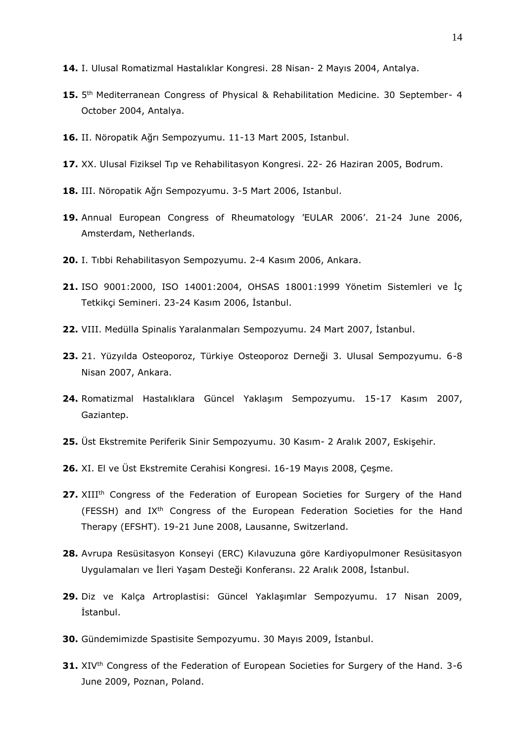- **14.** I. Ulusal Romatizmal Hastalıklar Kongresi. 28 Nisan- 2 Mayıs 2004, Antalya.
- **15.** 5<sup>th</sup> Mediterranean Congress of Physical & Rehabilitation Medicine. 30 September- 4 October 2004, Antalya.
- **16.** II. Nöropatik Ağrı Sempozyumu. 11-13 Mart 2005, Istanbul.
- **17.** XX. Ulusal Fiziksel Tıp ve Rehabilitasyon Kongresi. 22- 26 Haziran 2005, Bodrum.
- **18.** III. Nöropatik Ağrı Sempozyumu. 3-5 Mart 2006, Istanbul.
- **19.** Annual European Congress of Rheumatology 'EULAR 2006'. 21-24 June 2006, Amsterdam, Netherlands.
- **20.** I. Tıbbi Rehabilitasyon Sempozyumu. 2-4 Kasım 2006, Ankara.
- **21.** ISO 9001:2000, ISO 14001:2004, OHSAS 18001:1999 Yönetim Sistemleri ve İç Tetkikçi Semineri. 23-24 Kasım 2006, İstanbul.
- **22.** VIII. Medülla Spinalis Yaralanmaları Sempozyumu. 24 Mart 2007, İstanbul.
- **23.** 21. Yüzyılda Osteoporoz, Türkiye Osteoporoz Derneği 3. Ulusal Sempozyumu. 6-8 Nisan 2007, Ankara.
- **24.** Romatizmal Hastalıklara Güncel Yaklaşım Sempozyumu. 15-17 Kasım 2007, Gaziantep.
- **25.** Üst Ekstremite Periferik Sinir Sempozyumu. 30 Kasım- 2 Aralık 2007, Eskişehir.
- **26.** XI. El ve Üst Ekstremite Cerahisi Kongresi. 16-19 Mayıs 2008, Çeşme.
- **27.** XIII<sup>th</sup> Congress of the Federation of European Societies for Surgery of the Hand (FESSH) and IXth Congress of the European Federation Societies for the Hand Therapy (EFSHT). 19-21 June 2008, Lausanne, Switzerland.
- **28.** Avrupa Resüsitasyon Konseyi (ERC) Kılavuzuna göre Kardiyopulmoner Resüsitasyon Uygulamaları ve İleri Yaşam Desteği Konferansı. 22 Aralık 2008, İstanbul.
- **29.** Diz ve Kalça Artroplastisi: Güncel Yaklaşımlar Sempozyumu. 17 Nisan 2009, İstanbul.
- **30.** Gündemimizde Spastisite Sempozyumu. 30 Mayıs 2009, İstanbul.
- **31.** XIV<sup>th</sup> Congress of the Federation of European Societies for Surgery of the Hand. 3-6 June 2009, Poznan, Poland.